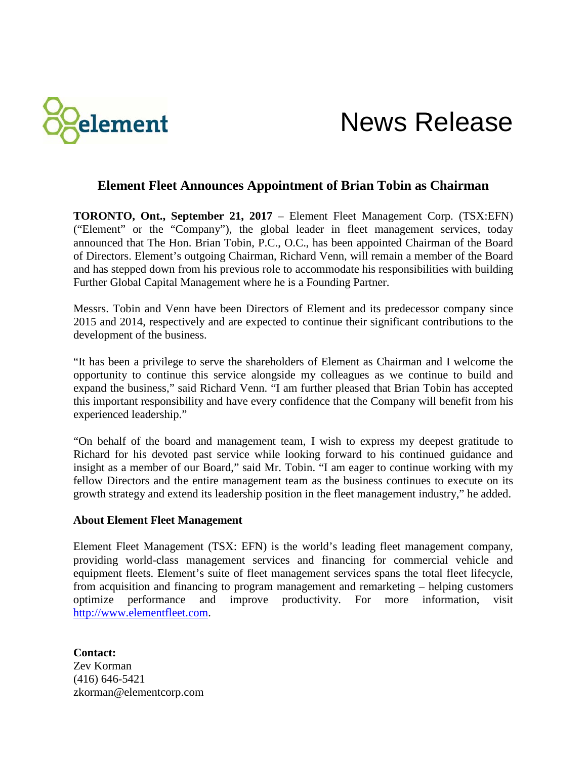

## News Release

## **Element Fleet Announces Appointment of Brian Tobin as Chairman**

**TORONTO, Ont., September 21, 2017** – Element Fleet Management Corp. (TSX:EFN) ("Element" or the "Company"), the global leader in fleet management services, today announced that The Hon. Brian Tobin, P.C., O.C., has been appointed Chairman of the Board of Directors. Element's outgoing Chairman, Richard Venn, will remain a member of the Board and has stepped down from his previous role to accommodate his responsibilities with building Further Global Capital Management where he is a Founding Partner.

Messrs. Tobin and Venn have been Directors of Element and its predecessor company since 2015 and 2014, respectively and are expected to continue their significant contributions to the development of the business.

"It has been a privilege to serve the shareholders of Element as Chairman and I welcome the opportunity to continue this service alongside my colleagues as we continue to build and expand the business," said Richard Venn. "I am further pleased that Brian Tobin has accepted this important responsibility and have every confidence that the Company will benefit from his experienced leadership."

"On behalf of the board and management team, I wish to express my deepest gratitude to Richard for his devoted past service while looking forward to his continued guidance and insight as a member of our Board," said Mr. Tobin. "I am eager to continue working with my fellow Directors and the entire management team as the business continues to execute on its growth strategy and extend its leadership position in the fleet management industry," he added.

## **About Element Fleet Management**

Element Fleet Management (TSX: EFN) is the world's leading fleet management company, providing world-class management services and financing for commercial vehicle and equipment fleets. Element's suite of fleet management services spans the total fleet lifecycle, from acquisition and financing to program management and remarketing – helping customers optimize performance and improve productivity. For more information, visit [http://www.elementfleet.com.](http://www.elementfleet.com/)

**Contact:** Zev Korman (416) 646-5421 zkorman@elementcorp.com